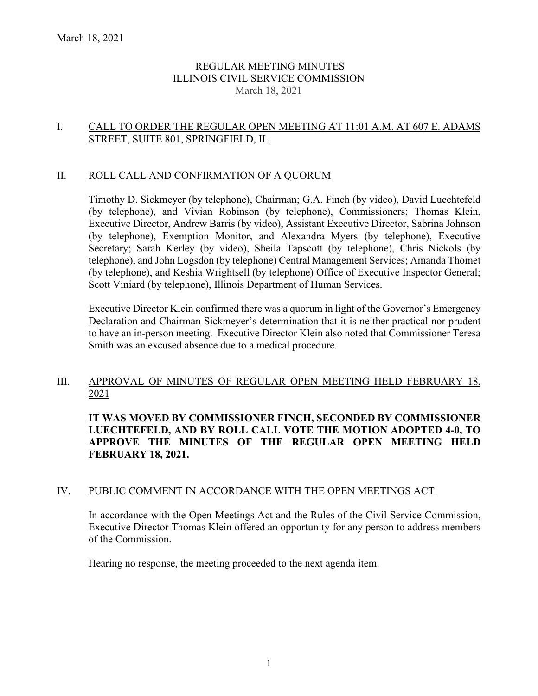# REGULAR MEETING MINUTES ILLINOIS CIVIL SERVICE COMMISSION March 18, 2021

## I. CALL TO ORDER THE REGULAR OPEN MEETING AT 11:01 A.M. AT 607 E. ADAMS STREET, SUITE 801, SPRINGFIELD, IL

#### II. ROLL CALL AND CONFIRMATION OF A QUORUM

Timothy D. Sickmeyer (by telephone), Chairman; G.A. Finch (by video), David Luechtefeld (by telephone), and Vivian Robinson (by telephone), Commissioners; Thomas Klein, Executive Director, Andrew Barris (by video), Assistant Executive Director, Sabrina Johnson (by telephone), Exemption Monitor, and Alexandra Myers (by telephone), Executive Secretary; Sarah Kerley (by video), Sheila Tapscott (by telephone), Chris Nickols (by telephone), and John Logsdon (by telephone) Central Management Services; Amanda Thomet (by telephone), and Keshia Wrightsell (by telephone) Office of Executive Inspector General; Scott Viniard (by telephone), Illinois Department of Human Services.

Executive Director Klein confirmed there was a quorum in light of the Governor's Emergency Declaration and Chairman Sickmeyer's determination that it is neither practical nor prudent to have an in-person meeting. Executive Director Klein also noted that Commissioner Teresa Smith was an excused absence due to a medical procedure.

#### III. APPROVAL OF MINUTES OF REGULAR OPEN MEETING HELD FEBRUARY 18, 2021

**IT WAS MOVED BY COMMISSIONER FINCH, SECONDED BY COMMISSIONER LUECHTEFELD, AND BY ROLL CALL VOTE THE MOTION ADOPTED 4-0, TO APPROVE THE MINUTES OF THE REGULAR OPEN MEETING HELD FEBRUARY 18, 2021.**

#### IV. PUBLIC COMMENT IN ACCORDANCE WITH THE OPEN MEETINGS ACT

In accordance with the Open Meetings Act and the Rules of the Civil Service Commission, Executive Director Thomas Klein offered an opportunity for any person to address members of the Commission.

Hearing no response, the meeting proceeded to the next agenda item.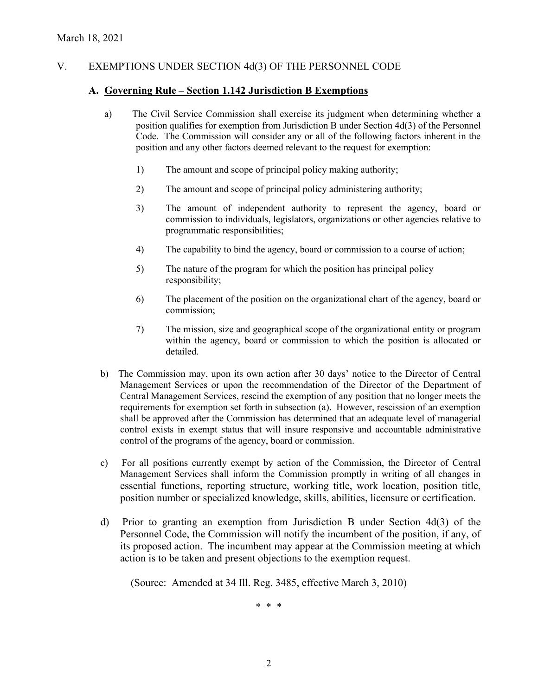# V. EXEMPTIONS UNDER SECTION 4d(3) OF THE PERSONNEL CODE

#### **A. Governing Rule – Section 1.142 Jurisdiction B Exemptions**

- a) The Civil Service Commission shall exercise its judgment when determining whether a position qualifies for exemption from Jurisdiction B under Section 4d(3) of the Personnel Code. The Commission will consider any or all of the following factors inherent in the position and any other factors deemed relevant to the request for exemption:
	- 1) The amount and scope of principal policy making authority;
	- 2) The amount and scope of principal policy administering authority;
	- 3) The amount of independent authority to represent the agency, board or commission to individuals, legislators, organizations or other agencies relative to programmatic responsibilities;
	- 4) The capability to bind the agency, board or commission to a course of action;
	- 5) The nature of the program for which the position has principal policy responsibility;
	- 6) The placement of the position on the organizational chart of the agency, board or commission;
	- 7) The mission, size and geographical scope of the organizational entity or program within the agency, board or commission to which the position is allocated or detailed.
- b) The Commission may, upon its own action after 30 days' notice to the Director of Central Management Services or upon the recommendation of the Director of the Department of Central Management Services, rescind the exemption of any position that no longer meets the requirements for exemption set forth in subsection (a). However, rescission of an exemption shall be approved after the Commission has determined that an adequate level of managerial control exists in exempt status that will insure responsive and accountable administrative control of the programs of the agency, board or commission.
- c) For all positions currently exempt by action of the Commission, the Director of Central Management Services shall inform the Commission promptly in writing of all changes in essential functions, reporting structure, working title, work location, position title, position number or specialized knowledge, skills, abilities, licensure or certification.
- d) Prior to granting an exemption from Jurisdiction B under Section 4d(3) of the Personnel Code, the Commission will notify the incumbent of the position, if any, of its proposed action. The incumbent may appear at the Commission meeting at which action is to be taken and present objections to the exemption request.

(Source: Amended at 34 Ill. Reg. 3485, effective March 3, 2010)

\* \* \*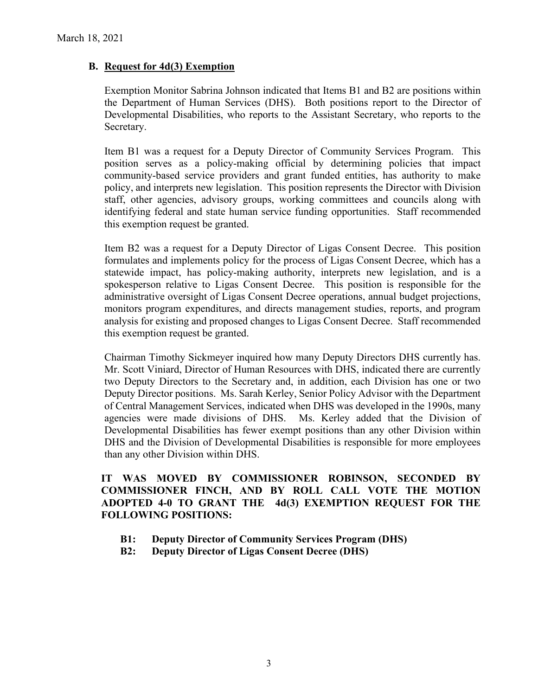# **B. Request for 4d(3) Exemption**

Exemption Monitor Sabrina Johnson indicated that Items B1 and B2 are positions within the Department of Human Services (DHS). Both positions report to the Director of Developmental Disabilities, who reports to the Assistant Secretary, who reports to the Secretary.

Item B1 was a request for a Deputy Director of Community Services Program. This position serves as a policy-making official by determining policies that impact community-based service providers and grant funded entities, has authority to make policy, and interprets new legislation. This position represents the Director with Division staff, other agencies, advisory groups, working committees and councils along with identifying federal and state human service funding opportunities. Staff recommended this exemption request be granted.

Item B2 was a request for a Deputy Director of Ligas Consent Decree. This position formulates and implements policy for the process of Ligas Consent Decree, which has a statewide impact, has policy-making authority, interprets new legislation, and is a spokesperson relative to Ligas Consent Decree. This position is responsible for the administrative oversight of Ligas Consent Decree operations, annual budget projections, monitors program expenditures, and directs management studies, reports, and program analysis for existing and proposed changes to Ligas Consent Decree. Staff recommended this exemption request be granted.

Chairman Timothy Sickmeyer inquired how many Deputy Directors DHS currently has. Mr. Scott Viniard, Director of Human Resources with DHS, indicated there are currently two Deputy Directors to the Secretary and, in addition, each Division has one or two Deputy Director positions. Ms. Sarah Kerley, Senior Policy Advisor with the Department of Central Management Services, indicated when DHS was developed in the 1990s, many agencies were made divisions of DHS. Ms. Kerley added that the Division of Developmental Disabilities has fewer exempt positions than any other Division within DHS and the Division of Developmental Disabilities is responsible for more employees than any other Division within DHS.

**IT WAS MOVED BY COMMISSIONER ROBINSON, SECONDED BY COMMISSIONER FINCH, AND BY ROLL CALL VOTE THE MOTION ADOPTED 4-0 TO GRANT THE 4d(3) EXEMPTION REQUEST FOR THE FOLLOWING POSITIONS:**

- **B1: Deputy Director of Community Services Program (DHS)**
- **B2: Deputy Director of Ligas Consent Decree (DHS)**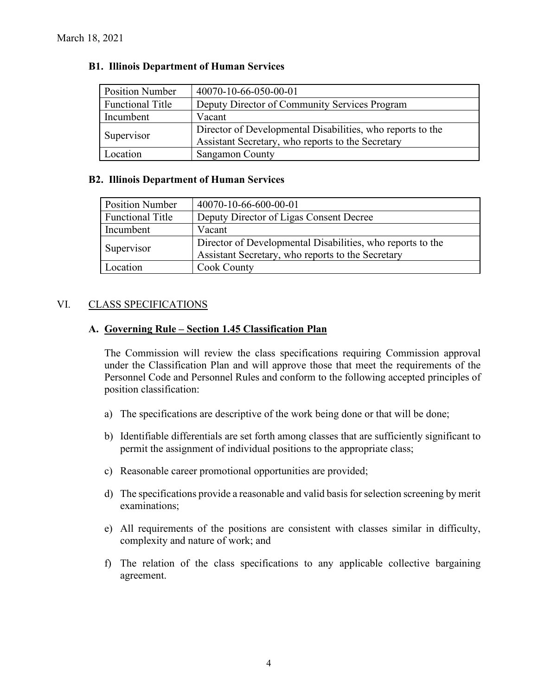| <b>Position Number</b>  | 40070-10-66-050-00-01                                      |
|-------------------------|------------------------------------------------------------|
| <b>Functional Title</b> | Deputy Director of Community Services Program              |
| Incumbent               | Vacant                                                     |
| Supervisor              | Director of Developmental Disabilities, who reports to the |
|                         | Assistant Secretary, who reports to the Secretary          |
| Location                | <b>Sangamon County</b>                                     |

## **B1. Illinois Department of Human Services**

#### **B2. Illinois Department of Human Services**

| <b>Position Number</b>  | 40070-10-66-600-00-01                                      |
|-------------------------|------------------------------------------------------------|
| <b>Functional Title</b> | Deputy Director of Ligas Consent Decree                    |
| Incumbent               | Vacant                                                     |
| Supervisor              | Director of Developmental Disabilities, who reports to the |
|                         | Assistant Secretary, who reports to the Secretary          |
| Location                | <b>Cook County</b>                                         |

## VI. CLASS SPECIFICATIONS

## **A. Governing Rule – Section 1.45 Classification Plan**

The Commission will review the class specifications requiring Commission approval under the Classification Plan and will approve those that meet the requirements of the Personnel Code and Personnel Rules and conform to the following accepted principles of position classification:

- a) The specifications are descriptive of the work being done or that will be done;
- b) Identifiable differentials are set forth among classes that are sufficiently significant to permit the assignment of individual positions to the appropriate class;
- c) Reasonable career promotional opportunities are provided;
- d) The specifications provide a reasonable and valid basis for selection screening by merit examinations;
- e) All requirements of the positions are consistent with classes similar in difficulty, complexity and nature of work; and
- f) The relation of the class specifications to any applicable collective bargaining agreement.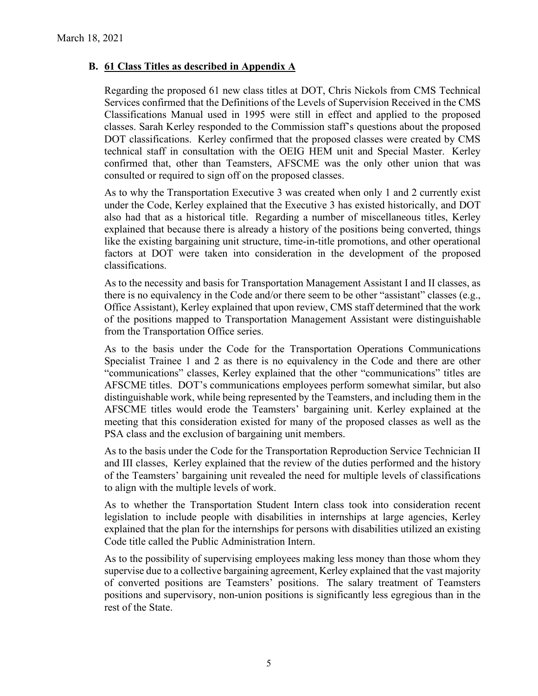# **B. 61 Class Titles as described in Appendix A**

Regarding the proposed 61 new class titles at DOT, Chris Nickols from CMS Technical Services confirmed that the Definitions of the Levels of Supervision Received in the CMS Classifications Manual used in 1995 were still in effect and applied to the proposed classes. Sarah Kerley responded to the Commission staff's questions about the proposed DOT classifications. Kerley confirmed that the proposed classes were created by CMS technical staff in consultation with the OEIG HEM unit and Special Master. Kerley confirmed that, other than Teamsters, AFSCME was the only other union that was consulted or required to sign off on the proposed classes.

As to why the Transportation Executive 3 was created when only 1 and 2 currently exist under the Code, Kerley explained that the Executive 3 has existed historically, and DOT also had that as a historical title. Regarding a number of miscellaneous titles, Kerley explained that because there is already a history of the positions being converted, things like the existing bargaining unit structure, time-in-title promotions, and other operational factors at DOT were taken into consideration in the development of the proposed classifications.

As to the necessity and basis for Transportation Management Assistant I and II classes, as there is no equivalency in the Code and/or there seem to be other "assistant" classes (e.g., Office Assistant), Kerley explained that upon review, CMS staff determined that the work of the positions mapped to Transportation Management Assistant were distinguishable from the Transportation Office series.

As to the basis under the Code for the Transportation Operations Communications Specialist Trainee 1 and 2 as there is no equivalency in the Code and there are other "communications" classes, Kerley explained that the other "communications" titles are AFSCME titles. DOT's communications employees perform somewhat similar, but also distinguishable work, while being represented by the Teamsters, and including them in the AFSCME titles would erode the Teamsters' bargaining unit. Kerley explained at the meeting that this consideration existed for many of the proposed classes as well as the PSA class and the exclusion of bargaining unit members.

As to the basis under the Code for the Transportation Reproduction Service Technician II and III classes, Kerley explained that the review of the duties performed and the history of the Teamsters' bargaining unit revealed the need for multiple levels of classifications to align with the multiple levels of work.

As to whether the Transportation Student Intern class took into consideration recent legislation to include people with disabilities in internships at large agencies, Kerley explained that the plan for the internships for persons with disabilities utilized an existing Code title called the Public Administration Intern.

As to the possibility of supervising employees making less money than those whom they supervise due to a collective bargaining agreement, Kerley explained that the vast majority of converted positions are Teamsters' positions. The salary treatment of Teamsters positions and supervisory, non-union positions is significantly less egregious than in the rest of the State.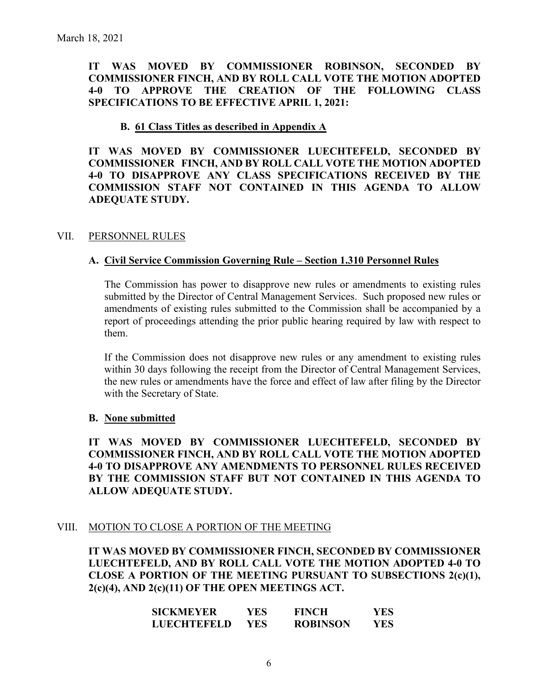**IT WAS MOVED BY COMMISSIONER ROBINSON, SECONDED BY COMMISSIONER FINCH, AND BY ROLL CALL VOTE THE MOTION ADOPTED 4-0 TO APPROVE THE CREATION OF THE FOLLOWING CLASS SPECIFICATIONS TO BE EFFECTIVE APRIL 1, 2021:**

### **B. 61 Class Titles as described in Appendix A**

**IT WAS MOVED BY COMMISSIONER LUECHTEFELD, SECONDED BY COMMISSIONER FINCH, AND BY ROLL CALL VOTE THE MOTION ADOPTED 4-0 TO DISAPPROVE ANY CLASS SPECIFICATIONS RECEIVED BY THE COMMISSION STAFF NOT CONTAINED IN THIS AGENDA TO ALLOW ADEQUATE STUDY.** 

#### VII. PERSONNEL RULES

#### **A. Civil Service Commission Governing Rule – Section 1.310 Personnel Rules**

The Commission has power to disapprove new rules or amendments to existing rules submitted by the Director of Central Management Services. Such proposed new rules or amendments of existing rules submitted to the Commission shall be accompanied by a report of proceedings attending the prior public hearing required by law with respect to them.

If the Commission does not disapprove new rules or any amendment to existing rules within 30 days following the receipt from the Director of Central Management Services, the new rules or amendments have the force and effect of law after filing by the Director with the Secretary of State.

#### **B. None submitted**

**IT WAS MOVED BY COMMISSIONER LUECHTEFELD, SECONDED BY COMMISSIONER FINCH, AND BY ROLL CALL VOTE THE MOTION ADOPTED 4-0 TO DISAPPROVE ANY AMENDMENTS TO PERSONNEL RULES RECEIVED BY THE COMMISSION STAFF BUT NOT CONTAINED IN THIS AGENDA TO ALLOW ADEQUATE STUDY.** 

#### VIII. MOTION TO CLOSE A PORTION OF THE MEETING

**IT WAS MOVED BY COMMISSIONER FINCH, SECONDED BY COMMISSIONER LUECHTEFELD, AND BY ROLL CALL VOTE THE MOTION ADOPTED 4-0 TO CLOSE A PORTION OF THE MEETING PURSUANT TO SUBSECTIONS 2(c)(1), 2(c)(4), AND 2(c)(11) OF THE OPEN MEETINGS ACT.**

| <b>SICKMEYER</b>   | YES  | <b>FINCH</b>    | YES |
|--------------------|------|-----------------|-----|
| <b>LUECHTEFELD</b> | YES. | <b>ROBINSON</b> | YES |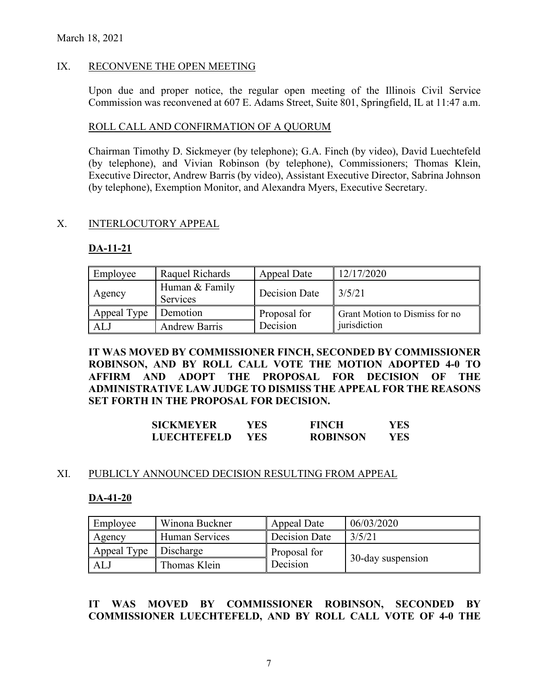## IX. RECONVENE THE OPEN MEETING

Upon due and proper notice, the regular open meeting of the Illinois Civil Service Commission was reconvened at 607 E. Adams Street, Suite 801, Springfield, IL at 11:47 a.m.

#### ROLL CALL AND CONFIRMATION OF A QUORUM

Chairman Timothy D. Sickmeyer (by telephone); G.A. Finch (by video), David Luechtefeld (by telephone), and Vivian Robinson (by telephone), Commissioners; Thomas Klein, Executive Director, Andrew Barris (by video), Assistant Executive Director, Sabrina Johnson (by telephone), Exemption Monitor, and Alexandra Myers, Executive Secretary.

## X. INTERLOCUTORY APPEAL

#### **DA-11-21**

| Employee    | Raquel Richards                   | Appeal Date   | 12/17/2020                     |
|-------------|-----------------------------------|---------------|--------------------------------|
| Agency      | Human & Family<br><b>Services</b> | Decision Date | 3/5/21                         |
| Appeal Type | Demotion                          | Proposal for  | Grant Motion to Dismiss for no |
| ALJ         | <b>Andrew Barris</b>              | Decision      | jurisdiction                   |

**IT WAS MOVED BY COMMISSIONER FINCH, SECONDED BY COMMISSIONER ROBINSON, AND BY ROLL CALL VOTE THE MOTION ADOPTED 4-0 TO AFFIRM AND ADOPT THE PROPOSAL FOR DECISION OF THE ADMINISTRATIVE LAW JUDGE TO DISMISS THE APPEAL FOR THE REASONS SET FORTH IN THE PROPOSAL FOR DECISION.** 

| <b>SICKMEYER</b>   | YES. | <b>FINCH</b>    | YES |
|--------------------|------|-----------------|-----|
| <b>LUECHTEFELD</b> | YES. | <b>ROBINSON</b> | YES |

#### XI. PUBLICLY ANNOUNCED DECISION RESULTING FROM APPEAL

#### **DA-41-20**

| Employee    | Winona Buckner | Appeal Date   | 06/03/2020        |
|-------------|----------------|---------------|-------------------|
| Agency      | Human Services | Decision Date | 3/5/21            |
| Appeal Type | Discharge      | Proposal for  |                   |
| AL.         | Thomas Klein   | Decision      | 30-day suspension |

# **IT WAS MOVED BY COMMISSIONER ROBINSON, SECONDED BY COMMISSIONER LUECHTEFELD, AND BY ROLL CALL VOTE OF 4-0 THE**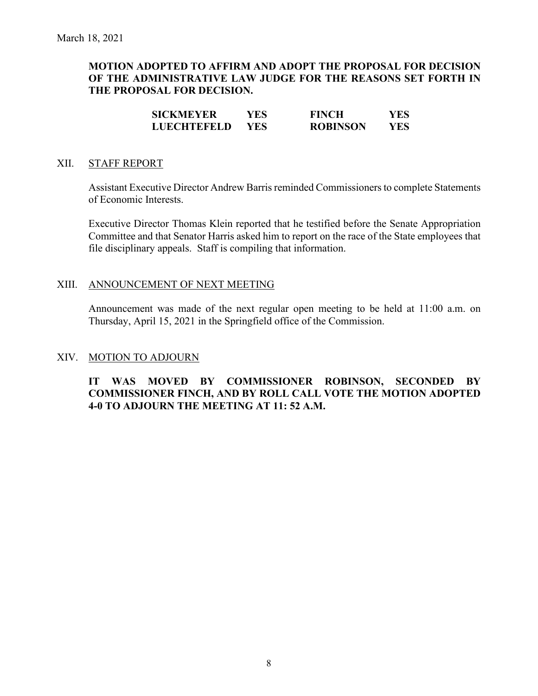# **MOTION ADOPTED TO AFFIRM AND ADOPT THE PROPOSAL FOR DECISION OF THE ADMINISTRATIVE LAW JUDGE FOR THE REASONS SET FORTH IN THE PROPOSAL FOR DECISION.**

| <b>SICKMEYER</b>   | YES  | <b>FINCH</b>    | YES |
|--------------------|------|-----------------|-----|
| <b>LUECHTEFELD</b> | YES. | <b>ROBINSON</b> | YES |

### XII. STAFF REPORT

Assistant Executive Director Andrew Barris reminded Commissioners to complete Statements of Economic Interests.

Executive Director Thomas Klein reported that he testified before the Senate Appropriation Committee and that Senator Harris asked him to report on the race of the State employees that file disciplinary appeals. Staff is compiling that information.

#### XIII. ANNOUNCEMENT OF NEXT MEETING

Announcement was made of the next regular open meeting to be held at 11:00 a.m. on Thursday, April 15, 2021 in the Springfield office of the Commission.

#### XIV. MOTION TO ADJOURN

## **IT WAS MOVED BY COMMISSIONER ROBINSON, SECONDED BY COMMISSIONER FINCH, AND BY ROLL CALL VOTE THE MOTION ADOPTED 4-0 TO ADJOURN THE MEETING AT 11: 52 A.M.**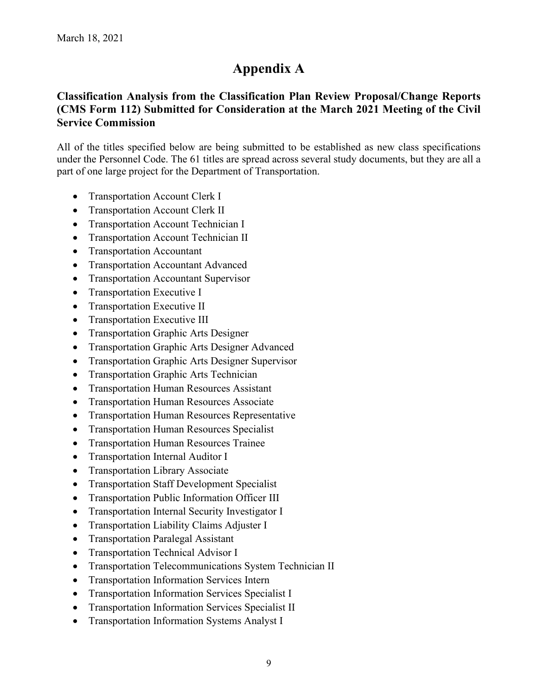# **Appendix A**

# **Classification Analysis from the Classification Plan Review Proposal/Change Reports (CMS Form 112) Submitted for Consideration at the March 2021 Meeting of the Civil Service Commission**

All of the titles specified below are being submitted to be established as new class specifications under the Personnel Code. The 61 titles are spread across several study documents, but they are all a part of one large project for the Department of Transportation.

- Transportation Account Clerk I
- Transportation Account Clerk II
- Transportation Account Technician I
- Transportation Account Technician II
- Transportation Accountant
- Transportation Accountant Advanced
- Transportation Accountant Supervisor
- Transportation Executive I
- Transportation Executive II
- Transportation Executive III
- Transportation Graphic Arts Designer
- Transportation Graphic Arts Designer Advanced
- Transportation Graphic Arts Designer Supervisor
- Transportation Graphic Arts Technician
- Transportation Human Resources Assistant
- Transportation Human Resources Associate
- Transportation Human Resources Representative
- Transportation Human Resources Specialist
- Transportation Human Resources Trainee
- Transportation Internal Auditor I
- Transportation Library Associate
- Transportation Staff Development Specialist
- Transportation Public Information Officer III
- Transportation Internal Security Investigator I
- Transportation Liability Claims Adjuster I
- Transportation Paralegal Assistant
- Transportation Technical Advisor I
- Transportation Telecommunications System Technician II
- Transportation Information Services Intern
- Transportation Information Services Specialist I
- Transportation Information Services Specialist II
- Transportation Information Systems Analyst I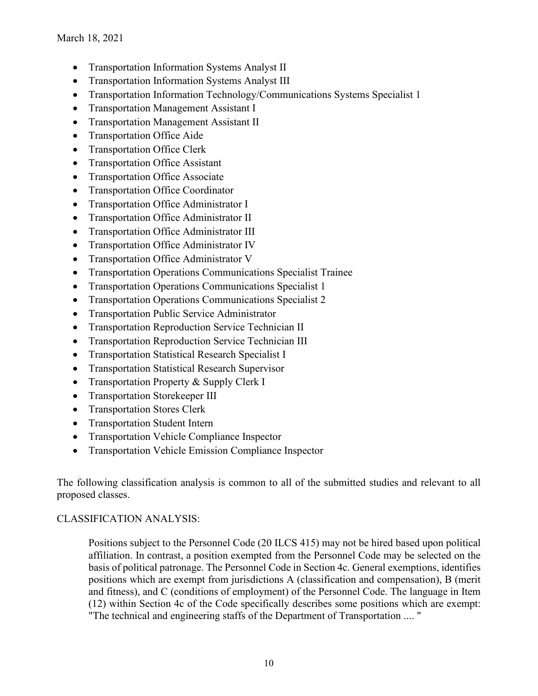- Transportation Information Systems Analyst II
- Transportation Information Systems Analyst III
- Transportation Information Technology/Communications Systems Specialist 1
- Transportation Management Assistant I
- Transportation Management Assistant II
- Transportation Office Aide
- Transportation Office Clerk
- Transportation Office Assistant
- Transportation Office Associate
- Transportation Office Coordinator
- Transportation Office Administrator I
- Transportation Office Administrator II
- Transportation Office Administrator III
- Transportation Office Administrator IV
- Transportation Office Administrator V
- Transportation Operations Communications Specialist Trainee
- Transportation Operations Communications Specialist 1
- Transportation Operations Communications Specialist 2
- Transportation Public Service Administrator
- Transportation Reproduction Service Technician II
- Transportation Reproduction Service Technician III
- Transportation Statistical Research Specialist I
- Transportation Statistical Research Supervisor
- Transportation Property & Supply Clerk I
- Transportation Storekeeper III
- Transportation Stores Clerk
- Transportation Student Intern
- Transportation Vehicle Compliance Inspector
- Transportation Vehicle Emission Compliance Inspector

The following classification analysis is common to all of the submitted studies and relevant to all proposed classes.

# CLASSIFICATION ANALYSIS:

Positions subject to the Personnel Code (20 ILCS 415) may not be hired based upon political affiliation. In contrast, a position exempted from the Personnel Code may be selected on the basis of political patronage. The Personnel Code in Section 4c. General exemptions, identifies positions which are exempt from jurisdictions A (classification and compensation), B (merit and fitness), and C (conditions of employment) of the Personnel Code. The language in Item (12) within Section 4c of the Code specifically describes some positions which are exempt: "The technical and engineering staffs of the Department of Transportation .... "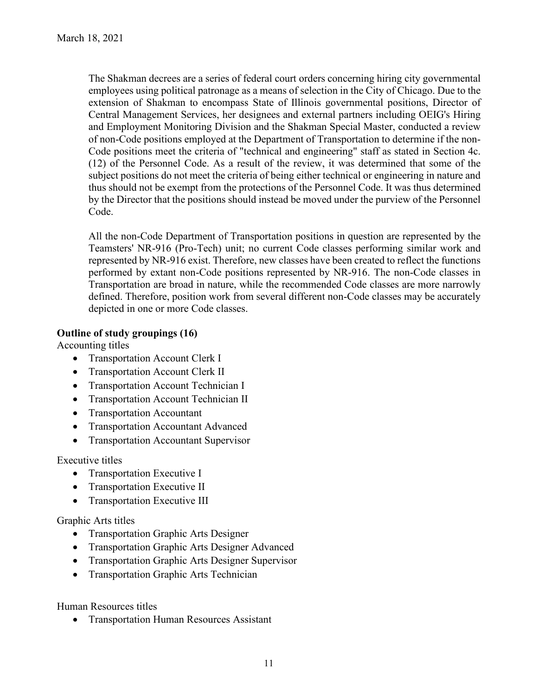The Shakman decrees are a series of federal court orders concerning hiring city governmental employees using political patronage as a means of selection in the City of Chicago. Due to the extension of Shakman to encompass State of Illinois governmental positions, Director of Central Management Services, her designees and external partners including OEIG's Hiring and Employment Monitoring Division and the Shakman Special Master, conducted a review of non-Code positions employed at the Department of Transportation to determine if the non-Code positions meet the criteria of "technical and engineering" staff as stated in Section 4c. (12) of the Personnel Code. As a result of the review, it was determined that some of the subject positions do not meet the criteria of being either technical or engineering in nature and thus should not be exempt from the protections of the Personnel Code. It was thus determined by the Director that the positions should instead be moved under the purview of the Personnel Code.

All the non-Code Department of Transportation positions in question are represented by the Teamsters' NR-916 (Pro-Tech) unit; no current Code classes performing similar work and represented by NR-916 exist. Therefore, new classes have been created to reflect the functions performed by extant non-Code positions represented by NR-916. The non-Code classes in Transportation are broad in nature, while the recommended Code classes are more narrowly defined. Therefore, position work from several different non-Code classes may be accurately depicted in one or more Code classes.

# **Outline of study groupings (16)**

Accounting titles

- Transportation Account Clerk I
- Transportation Account Clerk II
- Transportation Account Technician I
- Transportation Account Technician II
- Transportation Accountant
- Transportation Accountant Advanced
- Transportation Accountant Supervisor

# Executive titles

- Transportation Executive I
- Transportation Executive II
- Transportation Executive III

# Graphic Arts titles

- Transportation Graphic Arts Designer
- Transportation Graphic Arts Designer Advanced
- Transportation Graphic Arts Designer Supervisor
- Transportation Graphic Arts Technician

Human Resources titles

• Transportation Human Resources Assistant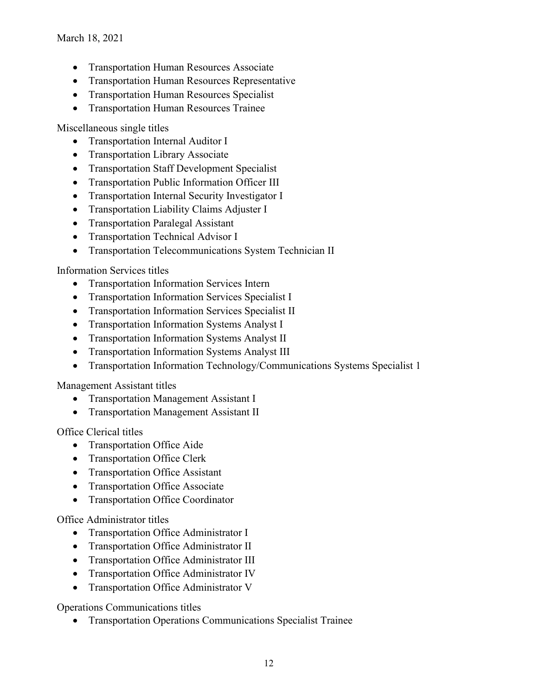- Transportation Human Resources Associate
- Transportation Human Resources Representative
- Transportation Human Resources Specialist
- Transportation Human Resources Trainee

Miscellaneous single titles

- Transportation Internal Auditor I
- Transportation Library Associate
- Transportation Staff Development Specialist
- Transportation Public Information Officer III
- Transportation Internal Security Investigator I
- Transportation Liability Claims Adjuster I
- Transportation Paralegal Assistant
- Transportation Technical Advisor I
- Transportation Telecommunications System Technician II

Information Services titles

- Transportation Information Services Intern
- Transportation Information Services Specialist I
- Transportation Information Services Specialist II
- Transportation Information Systems Analyst I
- Transportation Information Systems Analyst II
- Transportation Information Systems Analyst III
- Transportation Information Technology/Communications Systems Specialist 1

Management Assistant titles

- Transportation Management Assistant I
- Transportation Management Assistant II

Office Clerical titles

- Transportation Office Aide
- Transportation Office Clerk
- Transportation Office Assistant
- Transportation Office Associate
- Transportation Office Coordinator

Office Administrator titles

- Transportation Office Administrator I
- Transportation Office Administrator II
- Transportation Office Administrator III
- Transportation Office Administrator IV
- Transportation Office Administrator V

Operations Communications titles

• Transportation Operations Communications Specialist Trainee